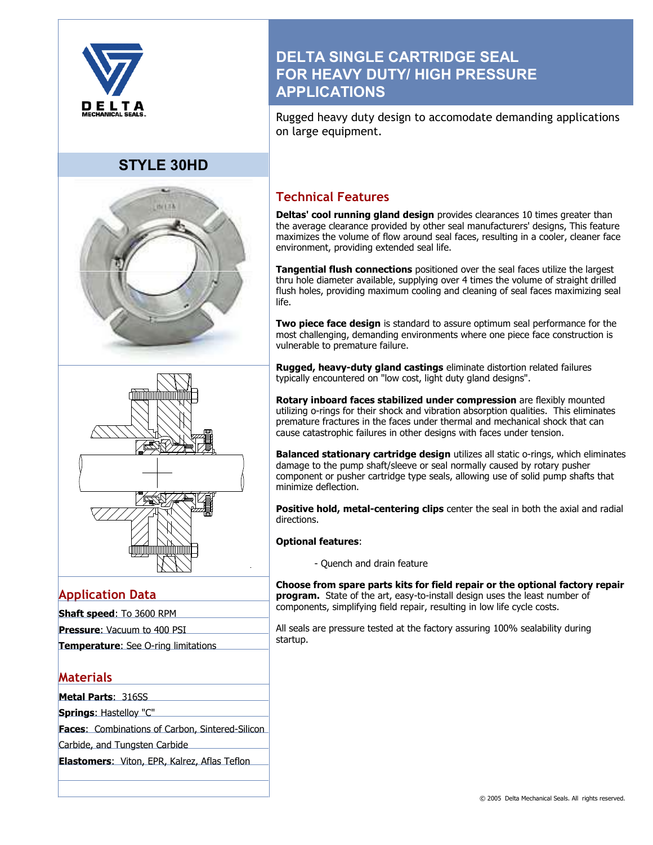

## **STYLE 30HD**





## **Application Data**

| <b>Shaft speed: To 3600 RPM</b>    |  |
|------------------------------------|--|
| <b>Pressure:</b> Vacuum to 400 PSI |  |

|  |  |  |  | Temperature: See O-ring limitations |  |
|--|--|--|--|-------------------------------------|--|

## **Materials**

**Metal Parts**: 316SS

**Springs**: Hastelloy "C"

**Faces**: Combinations of Carbon, Sintered-Silicon

Carbide, and Tungsten Carbide

**Elastomers**: Viton, EPR, Kalrez, Aflas Teflon

## **DELTA SINGLE CARTRIDGE SEAL FOR HEAVY DUTY/ HIGH PRESSURE APPLICATIONS**

Rugged heavy duty design to accomodate demanding applications on large equipment.

## **Technical Features**

**Deltas' cool running gland design** provides clearances 10 times greater than the average clearance provided by other seal manufacturers' designs, This feature maximizes the volume of flow around seal faces, resulting in a cooler, cleaner face environment, providing extended seal life.

**Tangential flush connections** positioned over the seal faces utilize the largest thru hole diameter available, supplying over 4 times the volume of straight drilled flush holes, providing maximum cooling and cleaning of seal faces maximizing seal life.

**Two piece face design** is standard to assure optimum seal performance for the most challenging, demanding environments where one piece face construction is vulnerable to premature failure.

**Rugged, heavy-duty gland castings** eliminate distortion related failures typically encountered on "low cost, light duty gland designs".

**Rotary inboard faces stabilized under compression** are flexibly mounted utilizing o-rings for their shock and vibration absorption qualities. This eliminates premature fractures in the faces under thermal and mechanical shock that can cause catastrophic failures in other designs with faces under tension.

**Balanced stationary cartridge design** utilizes all static o-rings, which eliminates damage to the pump shaft/sleeve or seal normally caused by rotary pusher component or pusher cartridge type seals, allowing use of solid pump shafts that minimize deflection.

**Positive hold, metal-centering clips** center the seal in both the axial and radial directions.

### **Optional features**:

- Quench and drain feature

**Choose from spare parts kits for field repair or the optional factory repair program.** State of the art, easy-to-install design uses the least number of components, simplifying field repair, resulting in low life cycle costs.

All seals are pressure tested at the factory assuring 100% sealability during startup.